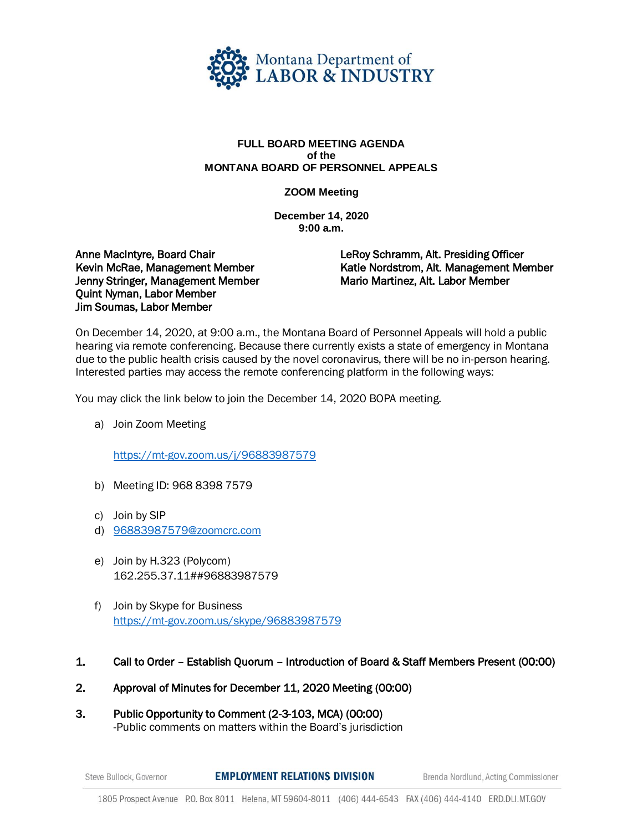

## **FULL BOARD MEETING AGENDA of the MONTANA BOARD OF PERSONNEL APPEALS**

**ZOOM Meeting**

**December 14, 2020 9:00 a.m.** 

Anne MacIntyre, Board Chair Kevin McRae, Management Member Jenny Stringer, Management Member Quint Nyman, Labor Member Jim Soumas, Labor Member

LeRoy Schramm, Alt. Presiding Officer Katie Nordstrom, Alt. Management Member Mario Martinez, Alt. Labor Member

On December 14, 2020, at 9:00 a.m., the Montana Board of Personnel Appeals will hold a public hearing via remote conferencing. Because there currently exists a state of emergency in Montana due to the public health crisis caused by the novel coronavirus, there will be no in-person hearing. Interested parties may access the remote conferencing platform in the following ways:

You may click the link below to join the December 14, 2020 BOPA meeting.

a) Join Zoom Meeting

<https://mt-gov.zoom.us/j/96883987579>

- b) Meeting ID: 968 8398 7579
- c) Join by SIP
- d) [96883987579@zoomcrc.com](mailto:96883987579@zoomcrc.com)
- e) Join by H.323 (Polycom) 162.255.37.11##96883987579
- f) Join by Skype for Business <https://mt-gov.zoom.us/skype/96883987579>
- 1. Call to Order Establish Quorum Introduction of Board & Staff Members Present (00:00)
- 2. Approval of Minutes for December 11, 2020 Meeting (00:00)
- 3. Public Opportunity to Comment (2-3-103, MCA) (00:00) -Public comments on matters within the Board's jurisdiction

**EMPLOYMENT RELATIONS DIVISION** Steve Bullock, Governor

Brenda Nordlund, Acting Commissioner